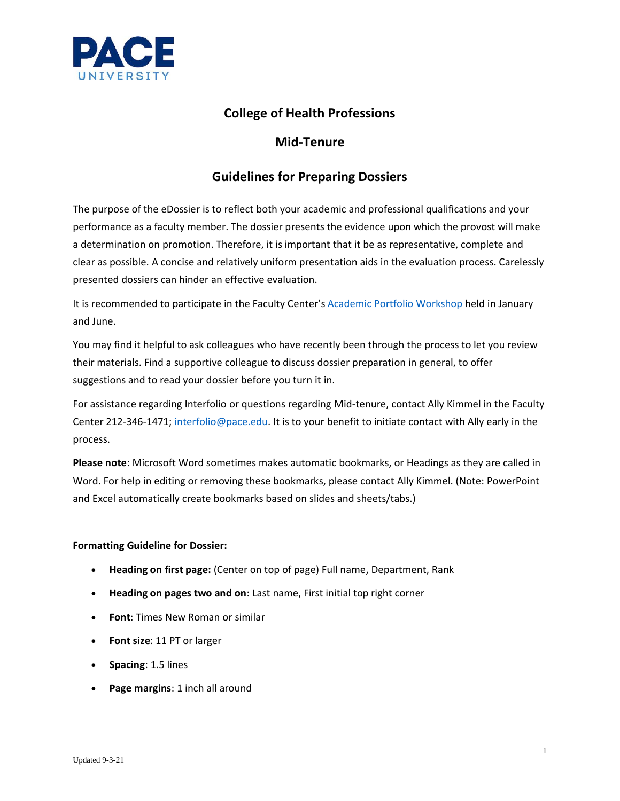

# **College of Health Professions**

# **Mid-Tenure**

# **Guidelines for Preparing Dossiers**

The purpose of the eDossier is to reflect both your academic and professional qualifications and your performance as a faculty member. The dossier presents the evidence upon which the provost will make a determination on promotion. Therefore, it is important that it be as representative, complete and clear as possible. A concise and relatively uniform presentation aids in the evaluation process. Carelessly presented dossiers can hinder an effective evaluation.

It is recommended to participate in the Faculty Center's [Academic Portfolio Workshop](https://www.pace.edu/faculty-center/events/academic-portfolio-workshop) held in January and June.

You may find it helpful to ask colleagues who have recently been through the process to let you review their materials. Find a supportive colleague to discuss dossier preparation in general, to offer suggestions and to read your dossier before you turn it in.

For assistance regarding Interfolio or questions regarding Mid-tenure, contact Ally Kimmel in the Faculty Center 212-346-1471; [interfolio@pace.edu.](mailto:interfolio@pace.edu) It is to your benefit to initiate contact with Ally early in the process.

**Please note**: Microsoft Word sometimes makes automatic bookmarks, or Headings as they are called in Word. For help in editing or removing these bookmarks, please contact Ally Kimmel. (Note: PowerPoint and Excel automatically create bookmarks based on slides and sheets/tabs.)

# **Formatting Guideline for Dossier:**

- **Heading on first page:** (Center on top of page) Full name, Department, Rank
- **Heading on pages two and on**: Last name, First initial top right corner
- **Font**: Times New Roman or similar
- **Font size**: 11 PT or larger
- **Spacing**: 1.5 lines
- **Page margins**: 1 inch all around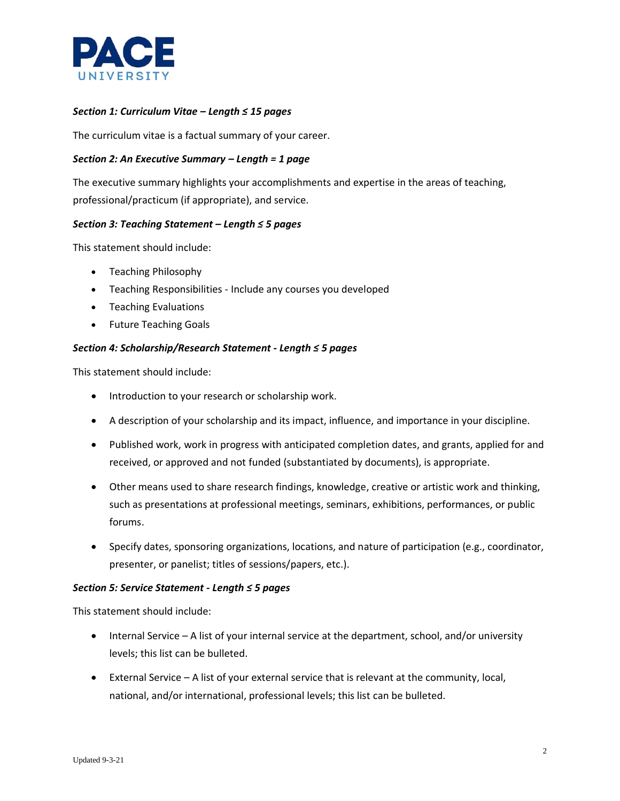

# *Section 1: Curriculum Vitae – Length ≤ 15 pages*

The curriculum vitae is a factual summary of your career.

#### *Section 2: An Executive Summary – Length = 1 page*

The executive summary highlights your accomplishments and expertise in the areas of teaching, professional/practicum (if appropriate), and service.

#### *Section 3: Teaching Statement – Length ≤ 5 pages*

This statement should include:

- Teaching Philosophy
- Teaching Responsibilities Include any courses you developed
- Teaching Evaluations
- Future Teaching Goals

#### *Section 4: Scholarship/Research Statement - Length ≤ 5 pages*

This statement should include:

- Introduction to your research or scholarship work.
- A description of your scholarship and its impact, influence, and importance in your discipline.
- Published work, work in progress with anticipated completion dates, and grants, applied for and received, or approved and not funded (substantiated by documents), is appropriate.
- Other means used to share research findings, knowledge, creative or artistic work and thinking, such as presentations at professional meetings, seminars, exhibitions, performances, or public forums.
- Specify dates, sponsoring organizations, locations, and nature of participation (e.g., coordinator, presenter, or panelist; titles of sessions/papers, etc.).

### *Section 5: Service Statement - Length ≤ 5 pages*

This statement should include:

- Internal Service A list of your internal service at the department, school, and/or university levels; this list can be bulleted.
- External Service A list of your external service that is relevant at the community, local, national, and/or international, professional levels; this list can be bulleted.